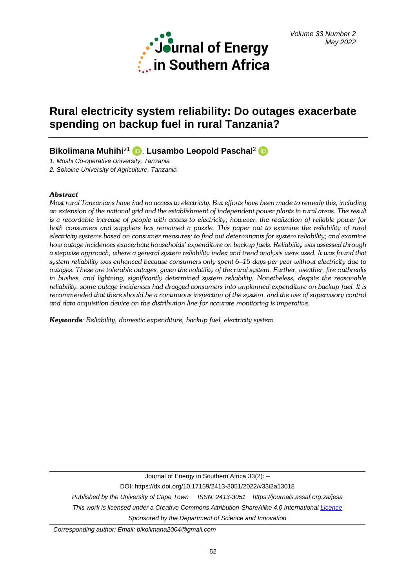

# **Rural electricity system reliability: Do outages exacerbate spending on backup fuel in rural Tanzania?**

# **Bikolimana Muhihi**\* 1 , **Lusambo Leopold Paschal** 2

*1. Moshi Co-operative University, Tanzania*

*2. Sokoine University of Agriculture, Tanzania*

# *Abstract*

*Most rural Tanzanians have had no access to electricity. But efforts have been made to remedy this, including an extension of the national grid and the establishment of independent power plants in rural areas. The result is a recordable increase of people with access to electricity; however, the realization of reliable power for both consumers and suppliers has remained a puzzle. This paper out to examine the reliability of rural electricity systems based on consumer measures; to find out determinants for system reliability; and examine how outage incidences exacerbate households' expenditure on backup fuels. Reliability was assessed through a stepwise approach, where a general system reliability index and trend analysis were used. It was found that system reliability was enhanced because consumers only spent 6–15 days per year without electricity due to outages. These are tolerable outages, given the volatility of the rural system. Further, weather, fire outbreaks in bushes, and lightning, significantly determined system reliability. Nonetheless, despite the reasonable reliability, some outage incidences had dragged consumers into unplanned expenditure on backup fuel. It is recommended that there should be a continuous inspection of the system, and the use of supervisory control and data acquisition device on the distribution line for accurate monitoring is imperative.*

*Keywords: Reliability, domestic expenditure, backup fuel, electricity system*

Journal of Energy in Southern Africa 33(2): –

DOI: https://dx.doi.org/10.17159/2413-3051/2022/v33i2a13018

*Published by the University of Cape Town ISSN: 2413-3051 https://journals.assaf.org.za/jesa This work is licensed under a Creative Commons Attribution-ShareAlike 4.0 Internationa[l Licence](https://creativecommons.org/licenses/by-sa/4.0/) Sponsored by the Department of Science and Innovation*

*Corresponding author: Email: bikolimana2004@gmail.com*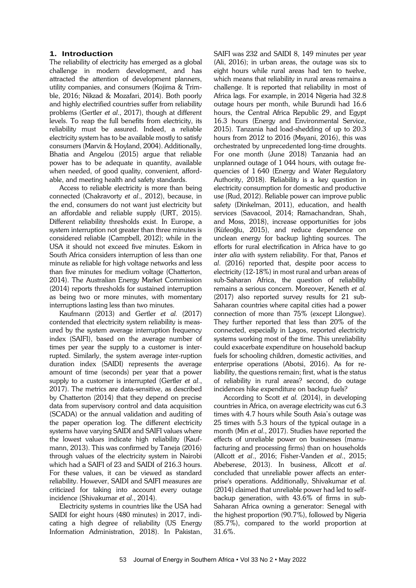# **1. Introduction**

The reliability of electricity has emerged as a global challenge in modern development, and has attracted the attention of development planners, utility companies, and consumers (Kojima & Trimble, 2016; Nikzad & Mozafari, 2014). Both poorly and highly electrified countries suffer from reliability problems (Gertler *et al*., 2017), though at different levels. To reap the full benefits from electricity, its reliability must be assured. Indeed, a reliable electricity system has to be available mostly to satisfy consumers (Marvin & Hoyland, 2004). Additionally, Bhatia and Angelou (2015) argue that reliable power has to be adequate in quantity, available when needed, of good quality, convenient, affordable, and meeting health and safety standards.

Access to reliable electricity is more than being connected (Chakravorty *et al*., 2012), because, in the end, consumers do not want just electricity but an affordable and reliable supply (URT, 2015). Different reliability thresholds exist. In Europe, a system interruption not greater than three minutes is considered reliable (Campbell, 2012); while in the USA it should not exceed five minutes. Eskom in South Africa considers interruption of less than one minute as reliable for high voltage networks and less than five minutes for medium voltage (Chatterton, 2014). The Australian Energy Market Commission (2014) reports thresholds for sustained interruption as being two or more minutes, with momentary interruptions lasting less than two minutes.

Kaufmann (2013) and Gertler *et al.* (2017) contended that electricity system reliability is measured by the system average interruption frequency index (SAIFI), based on the average number of times per year the supply to a customer is interrupted. Similarly, the system average inter-ruption duration index (SAIDI) represents the average amount of time (seconds) per year that a power supply to a customer is interrupted (Gertler *et al*., 2017). The metrics are data-sensitive, as described by Chatterton (2014) that they depend on precise data from supervisory control and data acquisition (SCADA) or the annual validation and auditing of the paper operation log. The different electricity systems have varying SAIDI and SAIFI values where the lowest values indicate high reliability (Kaufmann, 2013). This was confirmed by Taneja (2016) through values of the electricity system in Nairobi which had a SAIFI of 23 and SAIDI of 216.3 hours. For these values, it can be viewed as standard reliability. However, SAIDI and SAIFI measures are criticized for taking into account every outage incidence (Shivakumar *et al*., 2014).

Electricity systems in countries like the USA had SAIDI for eight hours (480 minutes) in 2017, indicating a high degree of reliability (US Energy Information Administration, 2018). In Pakistan, SAIFI was 232 and SAIDI 8, 149 minutes per year (Ali, 2016); in urban areas, the outage was six to eight hours while rural areas had ten to twelve, which means that reliability in rural areas remains a challenge. It is reported that reliability in most of Africa lags. For example, in 2014 Nigeria had 32.8 outage hours per month, while Burundi had 16.6 hours, the Central Africa Republic 29, and Egypt 16.3 hours (Energy and Environmental Service, 2015). Tanzania had load-shedding of up to 20.3 hours from 2012 to 2016 (Msyani, 2016), this was orchestrated by unprecedented long-time droughts. For one month (June 2018) Tanzania had an unplanned outage of 1 044 hours, with outage frequencies of 1 640 (Energy and Water Regulatory Authority, 2018). Reliability is a key question in electricity consumption for domestic and productive use (Rud, 2012). Reliable power can improve public safety (Dinkelman, 2011), education, and health services (Savacool, 2014; Ramachandran, Shah, and Moss, 2018), increase opportunities for jobs (Küfeoğlu, 2015), and reduce dependence on unclean energy for backup lighting sources. The efforts for rural electrification in Africa have to go *inter alia* with system reliability. For that, Panos *et al*. (2016) reported that, despite poor access to electricity (12-18%) in most rural and urban areas of sub-Saharan Africa, the question of reliability remains a serious concern. Moreover, Keneth *et al.* (2017) also reported survey results for 21 sub-Saharan countries where capital cities had a power connection of more than 75% (except Lilongwe). They further reported that less than 20% of the connected, especially in Lagos, reported electricity systems working most of the time. This unreliability could exacerbate expenditure on household backup fuels for schooling children, domestic activities, and enterprise operations (Abotsi, 2016). As for reliability, the questions remain; first, what is the status of reliability in rural areas? second, do outage incidences hike expenditure on backup fuels?

According to Scott *et al.* (2014), in developing countries in Africa, on average electricity was cut 6.3 times with 4.7 hours while South Asia's outage was 25 times with 5.3 hours of the typical outage in a month (Min *et al*., 2017). Studies have reported the effects of unreliable power on businesses (manufacturing and processing firms) than on households (Allcott *et al*., 2016; Fisher-Vanden *et al*., 2015; Abeberese, 2013). In business, Allcott *et al*. concluded that unreliable power affects an enterprise's operations. Additionally, Shivakumar *et al.* (2014) claimed that unreliable power had led to selfbackup generation, with 43.6% of firms in sub-Saharan Africa owning a generator: Senegal with the highest proportion (90.7%), followed by Nigeria (85.7%), compared to the world proportion at 31.6%.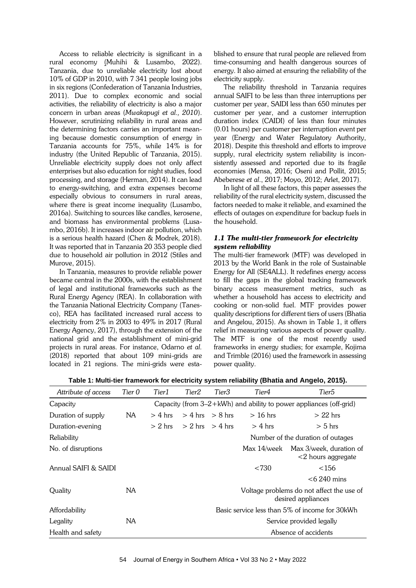Access to reliable electricity is significant in a rural economy (Muhihi & Lusambo, 2022). Tanzania, due to unreliable electricity lost about 10% of GDP in 2010, with 7 341 people losing jobs in six regions (Confederation of Tanzania Industries, 2011). Due to complex economic and social activities, the reliability of electricity is also a major concern in urban areas (*Mwakapugi et al., 2010*). However, scrutinizing reliability in rural areas and the determining factors carries an important meaning because domestic consumption of energy in Tanzania accounts for 75%, while 14% is for industry (the United Republic of Tanzania, 2015). Unreliable electricity supply does not only affect enterprises but also education for night studies, food processing, and storage (Herman, 2014). It can lead to energy-switching, and extra expenses become especially obvious to consumers in rural areas, where there is great income inequality (Lusambo, 2016a). Switching to sources like candles, kerosene, and biomass has environmental problems (Lusambo, 2016b). It increases indoor air pollution, which is a serious health hazard (Chen & Modrek, 2018). It was reported that in Tanzania 20 353 people died due to household air pollution in 2012 (Stiles and Murove, 2015).

In Tanzania, measures to provide reliable power became central in the 2000s, with the establishment of legal and institutional frameworks such as the Rural Energy Agency (REA). In collaboration with the Tanzania National Electricity Company (Tanesco), REA has facilitated increased rural access to electricity from 2% in 2003 to 49% in 2017 (Rural Energy Agency, 2017), through the extension of the national grid and the establishment of mini-grid projects in rural areas. For instance, Odarno *et al.*  (2018) reported that about 109 mini-grids are located in 21 regions. The mini-grids were established to ensure that rural people are relieved from time-consuming and health dangerous sources of energy. It also aimed at ensuring the reliability of the electricity supply.

The reliability threshold in Tanzania requires annual SAIFI to be less than three interruptions per customer per year, SAIDI less than 650 minutes per customer per year, and a customer interruption duration index (CAIDI) of less than four minutes (0.01 hours) per customer per interruption event per year (Energy and Water Regulatory Authority, 2018). Despite this threshold and efforts to improve supply, rural electricity system reliability is inconsistently assessed and reported due to its fragile economies (Mensa, 2016; Oseni and Pollit, 2015; Abeberese *et al*., 2017; Moyo, 2012; Arlet, 2017).

In light of all these factors, this paper assesses the reliability of the rural electricity system, discussed the factors needed to make it reliable, and examined the effects of outages on expenditure for backup fuels in the household.

# *1.1 The multi-tier framework for electricity system reliability*

The multi-tier framework (MTF) was developed in 2013 by the World Bank in the role of Sustainable Energy for All (SE4ALL). It redefines energy access to fill the gaps in the global tracking framework binary access measurement metrics, such as whether a household has access to electricity and cooking or non-solid fuel. MTF provides power quality descriptions for different tiers of users (Bhatia and Angelou, 2015). As shown in Table 1, it offers relief in measuring various aspects of power quality. The MTF is one of the most recently used frameworks in energy studies; for example, Kojima and Trimble (2016) used the framework in assessing power quality.

| Attribute of access  | Tier 0 | Tier1                    | Tier2                                                                 | Tier3               | Tier4                             | Tier5                                            |  |  |
|----------------------|--------|--------------------------|-----------------------------------------------------------------------|---------------------|-----------------------------------|--------------------------------------------------|--|--|
| Capacity             |        |                          | Capacity (from $3-2+kWh$ ) and ability to power appliances (off-grid) |                     |                                   |                                                  |  |  |
| Duration of supply   | NA.    | $> 4$ hrs                |                                                                       | $> 4$ hrs $> 8$ hrs | $>16$ hrs                         | $> 22$ hrs                                       |  |  |
| Duration-evening     |        | $> 2$ hrs                |                                                                       | $> 2$ hrs $> 4$ hrs | $>$ 4 hrs                         | $> 5$ hrs                                        |  |  |
| Reliability          |        |                          |                                                                       |                     | Number of the duration of outages |                                                  |  |  |
| No. of disruptions   |        |                          |                                                                       |                     | Max 14/week                       | Max 3/week, duration of<br>$<$ 2 hours aggregate |  |  |
| Annual SAIFI & SAIDI |        |                          |                                                                       |                     | < 730                             | < 156                                            |  |  |
|                      |        |                          |                                                                       |                     |                                   | $<$ 6 240 mins                                   |  |  |
| Quality              | NA.    |                          | Voltage problems do not affect the use of<br>desired appliances       |                     |                                   |                                                  |  |  |
| Affordability        |        |                          |                                                                       |                     |                                   | Basic service less than 5% of income for 30kWh   |  |  |
| Legality             | NA.    | Service provided legally |                                                                       |                     |                                   |                                                  |  |  |
| Health and safety    |        |                          |                                                                       |                     | Absence of accidents              |                                                  |  |  |

**Table 1: Multi-tier framework for electricity system reliability (Bhatia and Angelo, 2015).**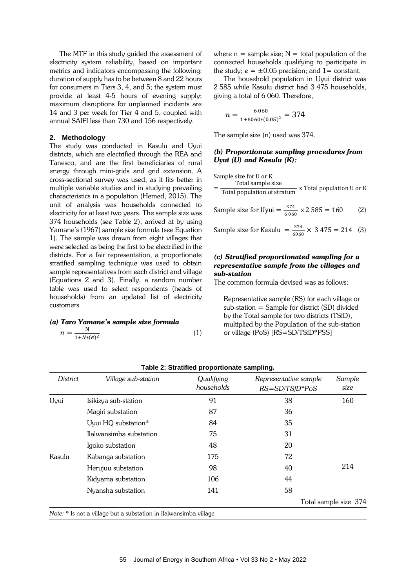The MTF in this study guided the assessment of electricity system reliability, based on important metrics and indicators encompassing the following: duration of supply has to be between 8 and 22 hours for consumers in Tiers 3, 4, and 5; the system must provide at least 4-5 hours of evening supply; maximum disruptions for unplanned incidents are 14 and 3 per week for Tier 4 and 5, coupled with annual SAIFI less than 730 and 156 respectively.

#### **2. Methodology**

The study was conducted in Kasulu and Uyui districts, which are electrified through the REA and Tanesco, and are the first beneficiaries of rural energy through mini-grids and grid extension. A cross-sectional survey was used, as it fits better in multiple variable studies and in studying prevailing characteristics in a population (Hemed, 2015). The unit of analysis was households connected to electricity for at least two years. The sample size was 374 households (see Table 2), arrived at by using Yamane's (1967) sample size formula (see Equation 1). The sample was drawn from eight villages that were selected as being the first to be electrified in the districts. For a fair representation, a proportionate stratified sampling technique was used to obtain sample representatives from each district and village (Equations 2 and 3). Finally, a random number table was used to select respondents (heads of households) from an updated list of electricity customers.

#### *(a) Taro Yamane's sample size formula*  $n = \frac{N}{1 + N + N}$  $1+N*(e)^2$

where  $n =$  sample size;  $N =$  total population of the connected households qualifying to participate in the study;  $e = \pm 0.05$  precision; and  $1 =$  constant.

The household population in Uyui district was 2 585 while Kasulu district had 3 475 households, giving a total of 6 060. Therefore,

$$
n = \frac{6060}{1 + 6060 * (0.05)^2} = 374
$$

The sample size (n) used was 374.

#### *(b) Proportionate sampling procedures from Uyui (U) and Kasulu (K):*

Sample size for U or K

= Total sample size Total population of stratum x Total population U or K

Sample size for Uyui =  $\frac{374}{6.06}$  $\frac{374}{6060}$  x 2 585 = 160 (2)

Sample size for Kasulu  $=\frac{374}{606}$  $\frac{374}{6060}$  × 3 475 = 214 (3)

# *(c) Stratified proportionated sampling for a representative sample from the villages and sub-station*

The common formula devised was as follows:

Representative sample (RS) for each village or sub-station = Sample for district (SD) divided by the Total sample for two districts (TSfD), multiplied by the Population of the sub-station or village (PoS) [RS=SD/TSfD\*PSS]

| District | Village sub-station                                               | Qualifying<br>households | Representative sample<br>$RS = SD/TSfD*PoS$ | Sample<br>size        |
|----------|-------------------------------------------------------------------|--------------------------|---------------------------------------------|-----------------------|
| Uyui     | Isikizya sub-station                                              | 91                       | 38                                          | 160                   |
|          | Magiri substation                                                 | 87                       | 36                                          |                       |
|          | Uyui HQ substation*                                               | 84                       | 35                                          |                       |
|          | Ilalwansimba substation                                           | 75                       | 31                                          |                       |
|          | Igoko substation                                                  | 48                       | 20                                          |                       |
| Kasulu   | Kabanga substation                                                | 175                      | 72                                          |                       |
|          | Herujuu substation                                                | 98                       | 40                                          | 214                   |
|          | Kidyama substation                                                | 106                      | 44                                          |                       |
|          | Nyansha substation                                                | 141                      | 58                                          |                       |
|          |                                                                   |                          |                                             | Total sample size 374 |
|          | Note: * Is not a village but a substation in Ilalwansimba village |                          |                                             |                       |

**Table 2: Stratified proportionate sampling.**

(1)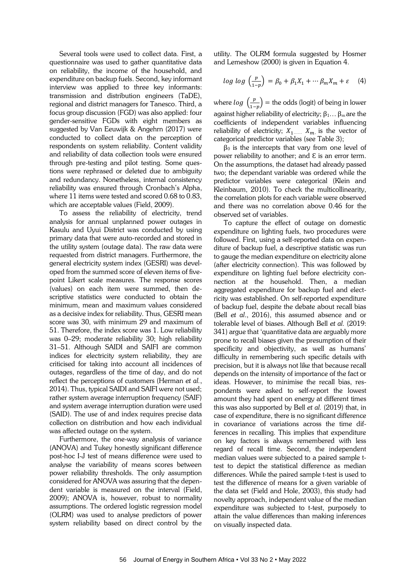Several tools were used to collect data. First, a questionnaire was used to gather quantitative data on reliability, the income of the household, and expenditure on backup fuels. Second, key informant interview was applied to three key informants: transmission and distribution engineers (TaDE), regional and district managers for Tanesco. Third, a focus group discussion (FGD) was also applied: four gender-sensitive FGDs with eight members as suggested by Van Eeuwijk & Angehrn (2017) were conducted to collect data on the perception of respondents on system reliability. Content validity and reliability of data collection tools were ensured through pre-testing and pilot testing. Some questions were rephrased or deleted due to ambiguity and redundancy. Nonetheless, internal consistency reliability was ensured through Cronbach's Alpha, where 11 items were tested and scored 0.68 to 0.83, which are acceptable values (Field, 2009).

To assess the reliability of electricity, trend analysis for annual unplanned power outages in Kasulu and Uyui District was conducted by using primary data that were auto-recorded and stored in the utility system (outage data). The raw data were requested from district managers. Furthermore, the general electricity system index (GESRI) was developed from the summed score of eleven items of fivepoint Likert scale measures. The response scores (values) on each item were summed, then descriptive statistics were conducted to obtain the minimum, mean and maximum values considered as a decisive index for reliability. Thus, GESRI mean score was 30, with minimum 29 and maximum of 51. Therefore, the index score was 1. Low reliability was 0–29; moderate reliability 30; high reliability 31–51. Although SAIDI and SAIFI are common indices for electricity system reliability, they are criticised for taking into account all incidences of outages, regardless of the time of day, and do not reflect the perceptions of customers (Herman *et al.*, 2014). Thus, typical SAIDI and SAIFI were not used; rather system average interruption frequency (SAIF) and system average interruption duration were used (SAID). The use of and index requires precise data collection on distribution and how each individual was affected outage on the system.

Furthermore, the one-way analysis of variance (ANOVA) and Tukey honestly significant difference post-hoc I-J test of means difference were used to analyse the variability of means scores between power reliability thresholds. The only assumption considered for ANOVA was assuring that the dependent variable is measured on the interval (Field, 2009); ANOVA is, however, robust to normality assumptions. The ordered logistic regression model (OLRM) was used to analyse predictors of power system reliability based on direct control by the

utility. The OLRM formula suggested by Hosmer and Lemeshow (2000) is given in Equation 4.

$$
log log \left(\frac{p}{1-p}\right) = \beta_0 + \beta_1 X_1 + \cdots \beta_m X_m + \varepsilon \quad (4)
$$

where  $log\ \left(\frac{p}{1-p}\right)$  $\left(\frac{p}{1-p}\right)$  = the odds (logit) of being in lower against higher reliability of electricity;  $\beta_1 \dots \beta_m$  are the coefficients of independent variables influencing reliability of electricity;  $X_1$  and  $X_m$ , is the vector of categorical predictor variables (see Table 3);

 $\beta_0$  is the intercepts that vary from one level of power reliability to another; and  $\epsilon$  is an error term. On the assumptions, the dataset had already passed two; the dependant variable was ordered while the predictor variables were categorical (Klein and Kleinbaum, 2010). To check the multicollinearity, the correlation plots for each variable were observed and there was no correlation above 0.46 for the observed set of variables.

To capture the effect of outage on domestic expenditure on lighting fuels, two procedures were followed. First, using a self-reported data on expenditure of backup fuel, a descriptive statistic was run to gauge the median expenditure on electricity alone (after electricity connection). This was followed by expenditure on lighting fuel before electricity connection at the household. Then, a median aggregated expenditure for backup fuel and electricity was established. On self-reported expenditure of backup fuel, despite the debate about recall bias (Bell *et al*., 2016), this assumed absence and or tolerable level of biases. Although Bell *et al.* (2019: 341) argue that 'quantitative data are arguably more prone to recall biases given the presumption of their specificity and objectivity, as well as humans' difficulty in remembering such specific details with precision, but it is always not like that because recall depends on the intensity of importance of the fact or ideas. However, to minimise the recall bias, respondents were asked to self-report the lowest amount they had spent on energy at different times this was also supported by Bell *et al.* (2019) that, in case of expenditure, there is no significant difference in covariance of variations across the time differences in recalling. This implies that expenditure on key factors is always remembered with less regard of recall time. Second, the independent median values were subjected to a paired sample ttest to depict the statistical difference as median differences. While the paired sample t-test is used to test the difference of means for a given variable of the data set (Field and Hole, 2003), this study had novelty approach, independent value of the median expenditure was subjected to t-test, purposely to attain the value differences than making inferences on visually inspected data.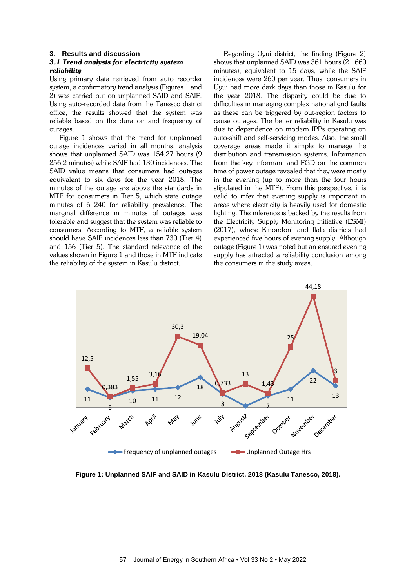#### **3. Results and discussion**

#### *3.1 Trend analysis for electricity system reliability*

Using primary data retrieved from auto recorder system, a confirmatory trend analysis (Figures 1 and 2) was carried out on unplanned SAID and SAIF. Using auto-recorded data from the Tanesco district office, the results showed that the system was reliable based on the duration and frequency of outages.

Figure 1 shows that the trend for unplanned outage incidences varied in all months. analysis shows that unplanned SAID was 154.27 hours (9 256.2 minutes) while SAIF had 130 incidences. The SAID value means that consumers had outages equivalent to six days for the year 2018. The minutes of the outage are above the standards in MTF for consumers in Tier 5, which state outage minutes of 6 240 for reliability prevalence. The marginal difference in minutes of outages was tolerable and suggest that the system was reliable to consumers. According to MTF, a reliable system should have SAIF incidences less than 730 (Tier 4) and 156 (Tier 5). The standard relevance of the values shown in Figure 1 and those in MTF indicate the reliability of the system in Kasulu district.

Regarding Uyui district, the finding (Figure 2) shows that unplanned SAID was 361 hours (21 660 minutes), equivalent to 15 days, while the SAIF incidences were 260 per year. Thus, consumers in Uyui had more dark days than those in Kasulu for the year 2018. The disparity could be due to difficulties in managing complex national grid faults as these can be triggered by out-region factors to cause outages. The better reliability in Kasulu was due to dependence on modern IPPs operating on auto-shift and self-servicing modes. Also, the small coverage areas made it simple to manage the distribution and transmission systems. Information from the key informant and FGD on the common time of power outage revealed that they were mostly in the evening (up to more than the four hours stipulated in the MTF). From this perspective, it is valid to infer that evening supply is important in areas where electricity is heavily used for domestic lighting. The inference is backed by the results from the Electricity Supply Monitoring Initiative (ESMI) (2017), where Kinondoni and Ilala districts had experienced five hours of evening supply. Although outage (Figure 1) was noted but an ensured evening supply has attracted a reliability conclusion among the consumers in the study areas.



**Figure 1: Unplanned SAIF and SAID in Kasulu District, 2018 (Kasulu Tanesco, 2018).**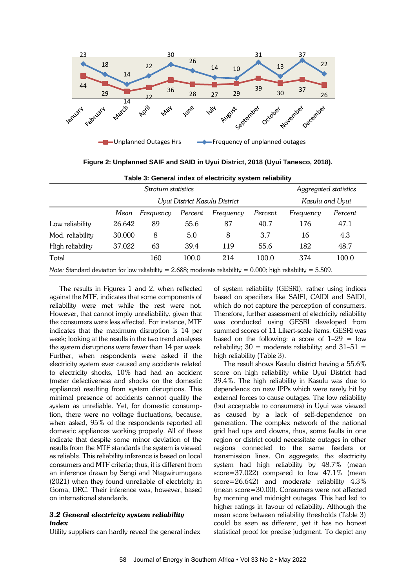

**Figure 2: Unplanned SAIF and SAID in Uyui District, 2018 (Uyui Tanesco, 2018).**

| Stratum statistics                                                                                               |        |                               |           |         |       | Aggregated statistics |                 |  |
|------------------------------------------------------------------------------------------------------------------|--------|-------------------------------|-----------|---------|-------|-----------------------|-----------------|--|
|                                                                                                                  |        | Uyui District Kasulu District |           |         |       |                       | Kasulu and Uyui |  |
|                                                                                                                  | Mean   | Frequency                     | Frequency | Percent |       |                       |                 |  |
| Low reliability                                                                                                  | 26.642 | 89                            | 55.6      | 87      | 40.7  | 176                   | 47.1            |  |
| Mod. reliability                                                                                                 | 30.000 | 8                             | 5.0       | 8       | 3.7   | 16                    | 4.3             |  |
| High reliability                                                                                                 | 37.022 | 63                            | 39.4      | 119     | 55.6  | 182                   | 48.7            |  |
| Total                                                                                                            |        | 160                           | 100.0     | 214     | 100.0 | 374                   | 100.0           |  |
| Note: Standard deviation for low reliability = 2.688; moderate reliability = $0.000$ ; high reliability = 5.509. |        |                               |           |         |       |                       |                 |  |

**Table 3: General index of electricity system reliability**

The results in Figures 1 and 2, when reflected against the MTF, indicates that some components of reliability were met while the rest were not. However, that cannot imply unreliability, given that the consumers were less affected. For instance, MTF indicates that the maximum disruption is 14 per week; looking at the results in the two trend analyses the system disruptions were fewer than 14 per week. Further, when respondents were asked if the electricity system ever caused any accidents related to electricity shocks, 10% had had an accident (meter defectiveness and shocks on the domestic appliance) resulting from system disruptions. This minimal presence of accidents cannot qualify the system as unreliable. Yet, for domestic consumption, there were no voltage fluctuations, because, when asked, 95% of the respondents reported all domestic appliances working properly. All of these indicate that despite some minor deviation of the results from the MTF standards the system is viewed as reliable. This reliability inference is based on local consumers and MTF criteria; thus, it is different from an inference drawn by Sengi and Ntagwirumugara (2021) when they found unreliable of electricity in Goma, DRC. Their inference was, however, based on international standards.

#### *3.2 General electricity system reliability index*

Utility suppliers can hardly reveal the general index

of system reliability (GESRI), rather using indices based on specifiers like SAIFI, CAIDI and SAIDI, which do not capture the perception of consumers. Therefore, further assessment of electricity reliability was conducted using GESRI developed from summed scores of 11 Likert-scale items. GESRI was based on the following: a score of  $1-29 = 1$ ow reliability;  $30 =$  moderate reliability; and  $31-51 =$ high reliability (Table 3).

The result shows Kasulu district having a 55.6% score on high reliability while Uyui District had 39.4%. The high reliability in Kasulu was due to dependence on new IPPs which were rarely hit by external forces to cause outages. The low reliability (but acceptable to consumers) in Uyui was viewed as caused by a lack of self-dependence on generation. The complex network of the national grid had ups and downs, thus, some faults in one region or district could necessitate outages in other regions connected to the same feeders or transmission lines. On aggregate, the electricity system had high reliability by 48.7% (mean score=37.022) compared to low 47.1% (mean score=26.642) and moderate reliability 4.3% (mean score=30.00). Consumers were not affected by morning and midnight outages. This had led to higher ratings in favour of reliability. Although the mean score between reliability thresholds (Table 3) could be seen as different, yet it has no honest statistical proof for precise judgment. To depict any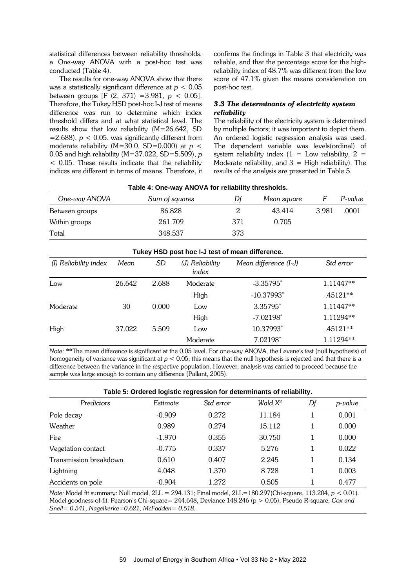statistical differences between reliability thresholds, a One-way ANOVA with a post-hoc test was conducted (Table 4).

The results for one-way ANOVA show that there was a statistically significant difference at *p* < 0.05 between groups [F (2, 371) =3.981, *p* < 0.05]. Therefore, the Tukey HSD post-hoc I-J test of means difference was run to determine which index threshold differs and at what statistical level. The results show that low reliability (M=26.642, SD  $=$  2.688),  $p < 0.05$ , was significantly different from moderate reliability (M=30.0, SD=0.000) at *p* < 0.05 and high reliability (M=37.022, SD=5.509), *p*  < 0.05. These results indicate that the reliability indices are different in terms of means. Therefore, it confirms the findings in Table 3 that electricity was reliable, and that the percentage score for the highreliability index of 48.7% was different from the low score of 47.1% given the means consideration on post-hoc test.

# *3.3 The determinants of electricity system reliability*

The reliability of the electricity system is determined by multiple factors; it was important to depict them. An ordered logistic regression analysis was used. The dependent variable was levels(ordinal) of system reliability index  $(1 = Low$  reliability,  $2 =$ Moderate reliability, and  $3 =$  High reliability). The results of the analysis are presented in Table 5.

| Table 4. One-way ANOVATOR Fellability thresholds. |                |     |             |       |         |  |
|---------------------------------------------------|----------------|-----|-------------|-------|---------|--|
| One-way ANOVA                                     | Sum of squares | Df  | Mean square |       | P-value |  |
| Between groups                                    | 86.828         |     | 43.414      | 3.981 | .0001   |  |
| Within groups                                     | 261.709        | 371 | 0.705       |       |         |  |
| Total                                             | 348.537        | 373 |             |       |         |  |

#### **Table 4: One-way ANOVA for reliability thresholds.**

| Tukey HSD post hoc I-J test of mean difference. |        |           |                          |                          |            |  |
|-------------------------------------------------|--------|-----------|--------------------------|--------------------------|------------|--|
| (I) Reliability index                           | Mean   | <b>SD</b> | (J) Reliability<br>index | Mean difference (I-J)    | Std error  |  |
| Low                                             | 26.642 | 2.688     | Moderate                 | $-3.35795$ <sup>*</sup>  | 1.11447**  |  |
|                                                 |        |           | High                     | $-10.37993$ <sup>*</sup> | $.45121**$ |  |
| Moderate                                        | 30     | 0.000     | Low                      | 3.35795*                 | 1.11447**  |  |
|                                                 |        |           | High                     | $-7.02198^*$             | 1.11294**  |  |
| High                                            | 37.022 | 5.509     | Low                      | 10.37993*                | $.45121**$ |  |
|                                                 |        |           | Moderate                 | 7.02198*                 | 1.11294**  |  |

*Note:* \*\*The mean difference is significant at the 0.05 level. For one-way ANOVA, the Levene's test (null hypothesis) of homogeneity of variance was significant at *p* < 0.05; this means that the null hypothesis is rejected and that there is a difference between the variance in the respective population. However, analysis was carried to proceed because the sample was large enough to contain any difference (Pallant, 2005).

| Table 5: Ordered logistic regression for determinants of reliability. |          |           |                     |    |         |  |  |  |
|-----------------------------------------------------------------------|----------|-----------|---------------------|----|---------|--|--|--|
| Predictors                                                            | Estimate | Std error | Wald X <sup>2</sup> | Df | p-value |  |  |  |
| Pole decay                                                            | $-0.909$ | 0.272     | 11.184              |    | 0.001   |  |  |  |
| Weather                                                               | 0.989    | 0.274     | 15.112              |    | 0.000   |  |  |  |
| Fire                                                                  | $-1.970$ | 0.355     | 30.750              | 1  | 0.000   |  |  |  |
| Vegetation contact                                                    | $-0.775$ | 0.337     | 5.276               | 1  | 0.022   |  |  |  |
| Transmission breakdown                                                | 0.610    | 0.407     | 2.245               | 1  | 0.134   |  |  |  |
| Lightning                                                             | 4.048    | 1.370     | 8.728               | 1  | 0.003   |  |  |  |
| Accidents on pole                                                     | $-0.904$ | 1.272     | 0.505               |    | 0.477   |  |  |  |

*Note:* Model fit summary: Null model, 2LL = 294.131; Final model, 2LL=180.297(Chi-square, 113.204, *p* < 0.01). Model goodness-of-fit: Pearson's Chi-square= 244.648, Deviance 148.246 (p > 0.05); Pseudo R-square, *Cox and Snell= 0.541, Nagelkerke=0.621, McFadden= 0.518.*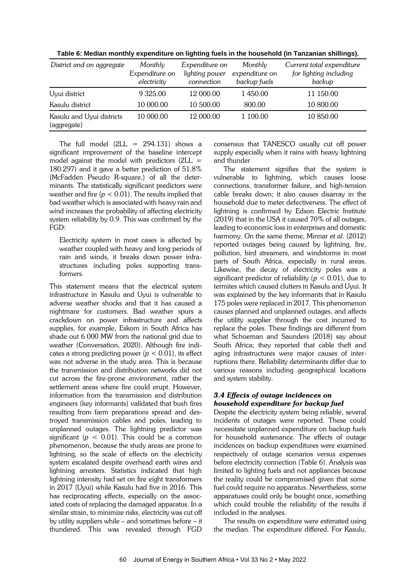| District and on aggregate                | Monthly<br>Expenditure on<br>electricity | Expenditure on<br>lighting power<br>connection | Monthly<br>expenditure on<br>backup fuels | Current total expenditure<br>for lighting including<br>backup |
|------------------------------------------|------------------------------------------|------------------------------------------------|-------------------------------------------|---------------------------------------------------------------|
| Uyui district                            | 9 3 2 5 .00                              | 12 000.00                                      | 1450.00                                   | 11 150.00                                                     |
| Kasulu district                          | 10 000.00                                | 10 500.00                                      | 800.00                                    | 10 800.00                                                     |
| Kasulu and Uyui districts<br>(aggregate) | 10 000.00                                | 12 000.00                                      | 1 100.00                                  | 10 850.00                                                     |

**Table 6: Median monthly expenditure on lighting fuels in the household (in Tanzanian shillings).**

The full model  $(2LL = 294.131)$  shows a significant improvement of the baseline intercept model against the model with predictors  $(2LL =$ 180.297) and it gave a better prediction of 51.8% (McFadden Pseudo R-square,) of all the determinants. The statistically significant predictors were weather and fire  $(p < 0.01)$ . The results implied that bad weather which is associated with heavy rain and wind increases the probability of affecting electricity system reliability by 0.9. This was confirmed by the FGD:

Electricity system in most cases is affected by weather coupled with heavy and long periods of rain and winds, it breaks down power infrastructures including poles supporting transformers.

This statement means that the electrical system infrastructure in Kasulu and Uyui is vulnerable to adverse weather shocks and that it has caused a nightmare for customers. Bad weather spurs a crackdown on power infrastructure and affects supplies, for example, Eskom in South Africa has shade out 6 000 MW from the national grid due to weather (Conversation, 2020). Although fire indicates a strong predicting power ( $p < 0.01$ ), its effect was not adverse in the study area. This is because the transmission and distribution networks did not cut across the fire-prone environment, rather the settlement areas where fire could erupt. However, information from the transmission and distribution engineers (key informants) validated that bush fires resulting from farm preparations spread and destroyed transmission cables and poles, leading to unplanned outages. The lightning predictor was significant ( $p < 0.01$ ). This could be a common phenomenon, because the study areas are prone to lightning, so the scale of effects on the electricity system escalated despite overhead earth wires and lightning arresters. Statistics indicated that high lightning intensity had set on fire eight transformers in 2017 (Uyui) while Kasulu had five in 2016. This has reciprocating effects, especially on the associated costs of replacing the damaged apparatus. In a similar strain, to minimize risks, electricity was cut off by utility suppliers while – and sometimes before – it thundered. This was revealed through FGD consensus that TANESCO usually cut off power supply especially when it rains with heavy lightning and thunder

The statement signifies that the system is vulnerable to lightning, which causes loose connections, transformer failure, and high-tension cable breaks down; it also causes disarray in the household due to meter defectiveness. The effect of lightning is confirmed by Edson Electric Institute (2019) that in the USA it caused 70% of all outages, leading to economic loss in enterprises and domestic harmony. On the same theme, Minnar *et al.* (2012) reported outages being caused by lightning, fire, pollution, bird streamers, and windstorms in most parts of South Africa, especially in rural areas. Likewise, the decay of electricity poles was a significant predictor of reliability (*p* < 0.01), due to termites which caused clutters in Kasulu and Uyui. It was explained by the key informants that in Kasulu 175 poles were replaced in 2017. This phenomenon causes planned and unplanned outages, and affects the utility supplier through the cost incurred to replace the poles. These findings are different from what Schoeman and Saunders (2018) say about South Africa; they reported that cable theft and aging infrastructures were major causes of interruptions there. Reliability determinants differ due to various reasons including geographical locations and system stability.

# *3.4 Effects of outage incidences on household expenditure for backup fuel*

Despite the electricity system being reliable, several incidents of outages were reported. These could necessitate unplanned expenditure on backup fuels for household sustenance. The effects of outage incidences on backup expenditures were examined respectively of outage scenarios versus expenses before electricity connection (Table 6). Analysis was limited to lighting fuels and not appliances because the reality could be compromised given that some fuel could require no apparatus. Nevertheless, some apparatuses could only be bought once, something which could trouble the reliability of the results if included in the analyses.

The results on expenditure were estimated using the median. The expenditure differed. For Kasulu,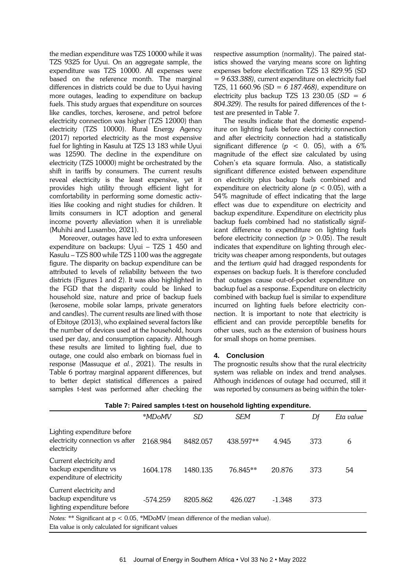the median expenditure was TZS 10000 while it was TZS 9325 for Uyui. On an aggregate sample, the expenditure was TZS 10000. All expenses were based on the reference month. The marginal differences in districts could be due to Uyui having more outages, leading to expenditure on backup fuels. This study argues that expenditure on sources like candles, torches, kerosene, and petrol before electricity connection was higher (TZS 12000) than electricity (TZS 10000). Rural Energy Agency (2017) reported electricity as the most expensive fuel for lighting in Kasulu at TZS 13 183 while Uyui was 12590. The decline in the expenditure on electricity (TZS 10000) might be orchestrated by the shift in tariffs by consumers. The current results reveal electricity is the least expensive, yet it provides high utility through efficient light for comfortability in performing some domestic activities like cooking and night studies for children. It limits consumers in ICT adoption and general income poverty alleviation when it is unreliable (Muhihi and Lusambo, 2021).

Moreover, outages have led to extra unforeseen expenditure on backups: Uyui – TZS 1 450 and Kasulu – TZS 800 while TZS 1100 was the aggregate figure. The disparity on backup expenditure can be attributed to levels of reliability between the two districts (Figures 1 and 2). It was also highlighted in the FGD that the disparity could be linked to household size, nature and price of backup fuels (kerosene, mobile solar lamps, private generators and candles). The current results are lined with those of Ebitoye (2013), who explained several factors like the number of devices used at the household, hours used per day, and consumption capacity. Although these results are limited to lighting fuel, due to outage, one could also embark on biomass fuel in response (Massuque *et al.*, 2021). The results in Table 6 portray marginal apparent differences, but to better depict statistical differences a paired samples t-test was performed after checking the

respective assumption (normality). The paired statistics showed the varying means score on lighting expenses before electrification TZS 13 829.95 (SD = *9 633.388),* current expenditure on electricity fuel TZS, 11 660.96 (SD = *6 187.468),* expenditure on electricity plus backup TZS 13 230.05 (*SD = 6 804.329).* The results for paired differences of the ttest are presented in Table 7.

The results indicate that the domestic expenditure on lighting fuels before electricity connection and after electricity connection had a statistically significant difference ( $p < 0$ . 05), with a 6% magnitude of the effect size calculated by using Cohen's eta square formula. Also, a statistically significant difference existed between expenditure on electricity plus backup fuels combined and expenditure on electricity alone ( $p < 0.05$ ), with a 54% magnitude of effect indicating that the large effect was due to expenditure on electricity and backup expenditure. Expenditure on electricity plus backup fuels combined had no statistically significant difference to expenditure on lighting fuels before electricity connection  $(p > 0.05)$ . The result indicates that expenditure on lighting through electricity was cheaper among respondents, but outages and the *tertium quid* had dragged respondents for expenses on backup fuels. It is therefore concluded that outages cause out-of-pocket expenditure on backup fuel as a response. Expenditure on electricity combined with backup fuel is similar to expenditure incurred on lighting fuels before electricity connection. It is important to note that electricity is efficient and can provide perceptible benefits for other uses, such as the extension of business hours for small shops on home premises.

#### **4. Conclusion**

The prognostic results show that the rural electricity system was reliable on index and trend analyses. Although incidences of outage had occurred, still it was reported by consumers as being within the toler-

|                                                                                     | *MDoMV     | SD       | <b>SEM</b> |          | Df  | Eta value |  |
|-------------------------------------------------------------------------------------|------------|----------|------------|----------|-----|-----------|--|
| Lighting expenditure before<br>electricity connection vs after<br>electricity       | 2168.984   | 8482.057 | 438.597**  | 4.945    | 373 | 6         |  |
| Current electricity and<br>backup expenditure vs<br>expenditure of electricity      | 1604.178   | 1480.135 | 76.845**   | 20.876   | 373 | 54        |  |
| Current electricity and<br>backup expenditure vs<br>lighting expenditure before     | $-574.259$ | 8205.862 | 426.027    | $-1.348$ | 373 |           |  |
| Notes: ** Significant at $p < 0.05$ , *MDoMV (mean difference of the median value). |            |          |            |          |     |           |  |

**Table 7: Paired samples t-test on household lighting expenditure.**

*Notes:* \*\* Significant at p < 0.05, \*MDoMV (mean difference of the median value).

Eta value is only calculated for significant values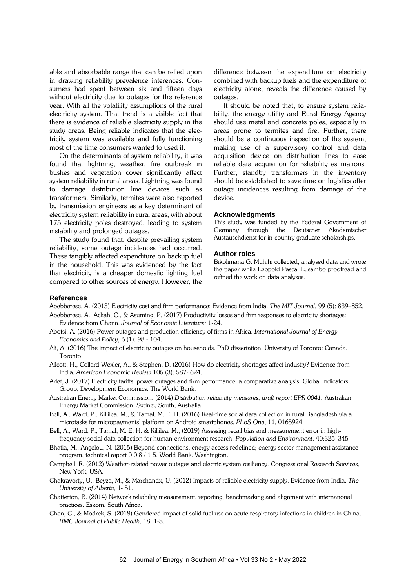able and absorbable range that can be relied upon in drawing reliability prevalence inferences. Consumers had spent between six and fifteen days without electricity due to outages for the reference year. With all the volatility assumptions of the rural electricity system. That trend is a visible fact that there is evidence of reliable electricity supply in the study areas. Being reliable indicates that the electricity system was available and fully functioning most of the time consumers wanted to used it.

On the determinants of system reliability, it was found that lightning, weather, fire outbreak in bushes and vegetation cover significantly affect system reliability in rural areas. Lightning was found to damage distribution line devices such as transformers. Similarly, termites were also reported by transmission engineers as a key determinant of electricity system reliability in rural areas, with about 175 electricity poles destroyed, leading to system instability and prolonged outages.

The study found that, despite prevailing system reliability, some outage incidences had occurred. These tangibly affected expenditure on backup fuel in the household. This was evidenced by the fact that electricity is a cheaper domestic lighting fuel compared to other sources of energy. However, the

difference between the expenditure on electricity combined with backup fuels and the expenditure of electricity alone, reveals the difference caused by outages.

It should be noted that, to ensure system reliability, the energy utility and Rural Energy Agency should use metal and concrete poles, especially in areas prone to termites and fire. Further, there should be a continuous inspection of the system, making use of a supervisory control and data acquisition device on distribution lines to ease reliable data acquisition for reliability estimations. Further, standby transformers in the inventory should be established to save time on logistics after outage incidences resulting from damage of the device.

#### **Acknowledgments**

This study was funded by the Federal Government of Germany through the Deutscher Akademischer Austauschdienst for in-country graduate scholarships.

#### **Author roles**

Bikolimana G. Muhihi collected, analysed data and wrote the paper while Leopold Pascal Lusambo proofread and refined the work on data analyses.

#### **References**

Abebberese, A. (2013) Electricity cost and firm performance: Evidence from India. *The MIT Journal*, 99 (5): 839–852.

- Abebberese, A., Ackah, C., & Asuming, P. (2017) Productivity losses and firm responses to electricity shortages: Evidence from Ghana. *Journal of Economic Literature:* 1-24.
- Abotsi, A. (2016) Power outages and production efficiency of firms in Africa. *International Journal of Energy Economics and Policy*, 6 (1): 98 - 104.
- Ali, A. (2016) The impact of electricity outages on households. PhD dissertation, University of Toronto: Canada. Toronto.
- Allcott, H., Collard-Wexler, A., & Stephen, D. (2016) How do electricity shortages affect industry? Evidence from India. *American Economic Review* 106 (3): 587- 624.
- Arlet, J. (2017) Electricity tariffs, power outages and firm performance: a comparative analysis. Global Indicators Group, Development Economics. The World Bank.
- Australian Energy Market Commission. (2014) *Distribution reliability measures, draft report EPR 0041.* Australian Energy Market Commission. Sydney South, Australia.
- Bell, A., Ward, P., Killilea, M., & Tamal, M. E. H. (2016) Real-time social data collection in rural Bangladesh via a microtasks for micropayments' platform on Android smartphones. *PLoS One*, 11, 0165924.
- Bell, A., Ward, P., Tamal, M. E. H. & Killilea, M., (2019) Assessing recall bias and measurement error in highfrequency social data collection for human-environment research; *Population and Environment*, 40:325–345
- Bhatia, M., Angelou, N. (2015) Beyond connections, energy access redefined; energy sector management assistance program, technical report 0 0 8 / 1 5. World Bank. Washington.
- Campbell, R. (2012) Weather-related power outages and electric system resiliency. Congressional Research Services, New York, USA.
- Chakravorty, U., Beyza, M., & Marchandx, U. (2012) Impacts of reliable electricity supply. Evidence from India. *The University of Alberta*, 1- 51.
- Chatterton, B. (2014) Network reliability measurement, reporting, benchmarking and alignment with international practices. Eskom, South Africa.
- Chen, C., & Modrek, S. (2018) Gendered impact of solid fuel use on acute respiratory infections in children in China. *BMC Journal of Public Health*, 18; 1-8.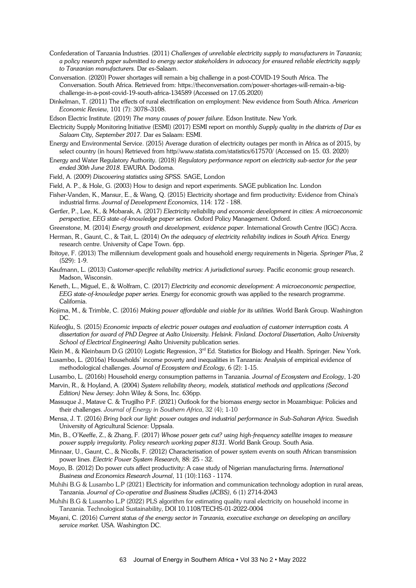- Confederation of Tanzania Industries. (2011) *Challenges of unreliable electricity supply to manufacturers in Tanzania; a policy research paper submitted to energy sector stakeholders in advocacy for ensured reliable electricity supply to Tanzanian manufacturers.* Dar es-Salaam.
- Conversation. (2020) Power shortages will remain a big challenge in a post-COVID-19 South Africa. The Conversation. South Africa. Retrieved from: https://theconversation.com/power-shortages-will-remain-a-bigchallenge-in-a-post-covid-19-south-africa-134589 (Accessed on 17.05.2020)
- Dinkelman, T. (2011) The effects of rural electrification on employment: New evidence from South Africa. *American Economic Review,* 101 (7): 3078–3108.
- Edson Electric Institute. (2019) *The many causes of power failure.* Edson Institute. New York.
- Electricity Supply Monitoring Initiative (ESMI) (2017) ESMI report on monthly *Supply quality in the districts of Dar es Salaam City, September 2017.* Dar es Salaam: ESMI.
- Energy and Environmental Service. (2015) Average duration of electricity outages per month in Africa as of 2015, by select country (in hours) Retrieved from http//www.statista.com/statistics/617570/ (Accessed on 15. 03. 2020)
- Energy and Water Regulatory Authority. (2018) *Regulatory performance report on electricity sub-sector for the year ended 30th June 2018.* EWURA. Dodoma.
- Field, A. (2009) *Discovering statistics using SPSS.* SAGE, London
- Field, A. P., & Hole, G. (2003) How to design and report experiments. SAGE publication Inc. London
- Fisher-Vanden, K., Mansur, E., & Wang, Q. (2015) Electricity shortage and firm productivity: Evidence from China's industrial firms. *Journal of Development Economics*, 114: 172 - 188.
- Gertler, P., Lee, K., & Mobarak, A. (2017) *Electricity reliability and economic development in cities: A microeconomic perspective, EEG state-of-knowledge paper series.* Oxford Policy Management. Oxford.
- Greenstone, M. (2014) *Energy growth and development, evidence paper.* International Growth Centre (IGC) Accra.
- Herman, R., Gaunt, C., & Tait, L. (2014) *On the adequacy of electricity reliability indices in South Africa.* Energy research centre. University of Cape Town. 6pp.
- Ibitoye, F. (2013) The millennium development goals and household energy requirements in Nigeria. *Springer Plus*, 2 (529): 1-9.
- Kaufmann, L. (2013) *Customer-specific reliability metrics: A jurisdictional survey.* Pacific economic group research. Madson, Wisconsin.
- Keneth, L., Miguel, E., & Wolfram, C. (2017) *Electricity and economic development: A microeconomic perspective, EEG state-of-knowledge paper series.* Energy for economic growth was applied to the research programme. California.
- Kojima, M., & Trimble, C. (2016) *Making power affordable and viable for its utilities.* World Bank Group. Washington DC.
- Küfeoğlu, S. (2015) *Economic impacts of electric power outages and evaluation of customer interruption costs. A dissertation for award of PhD Degree at Aalto University. Helsink. Finland. Doctoral Dissertation, Aalto University School of Electrical Engineering)* Aalto University publication series.
- Klein M., & Kleinbaum D.G (2010) Logistic Regression, 3<sup>rd</sup> Ed. Statistics for Biology and Health. Springer. New York.
- Lusambo, L. (2016a) Households' income poverty and inequalities in Tanzania: Analysis of empirical evidence of methodological challenges. *Journal of Ecosystem and Ecology*, 6 (2): 1-15.
- Lusambo, L. (2016b) Household energy consumption patterns in Tanzania. *Journal of Ecosystem and Ecology*, 1-20
- Marvin, R., & Hoyland, A. (2004) *System reliability theory, models, statistical methods and applications (Second Edition)* New Jersey: John Wiley & Sons, Inc. 636pp.
- Massuque J., Matave C. & Trugilho P.F. (2021) Outlook for the biomass energy sector in Mozambique: Policies and their challenges. *Journal of Energy in Southern Africa*, 32 (4); 1-10
- Mensa, J. T. (2016) *Bring back our light: power outages and industrial performance in Sub-Saharan Africa.* Swedish University of Agricultural Science: Uppsala.
- Min, B., O'Keeffe, Z., & Zhang, F. (2017) *Whose power gets cut? using high-frequency satellite images to measure power supply irregularity. Policy research working paper 8131.* World Bank Group. South Asia.
- Minnaar, U., Gaunt, C., & Nicolls, F. (2012) Characterisation of power system events on south African transmission power lines. *Electric Power System Research,* 88: 25 - 32.
- Moyo, B. (2012) Do power cuts affect productivity: A case study of Nigerian manufacturing firms. *International Business and Economics Research Journal*, 11 (10):1163 - 1174.
- Muhihi B.G & Lusambo L.P (2021) Electricity for information and communication technology adoption in rural areas, Tanzania. *Journal of Co-operative and Business Studies (JCBS),* 6 (1) 2714-2043
- Muhihi B.G & Lusambo L.P (2022) PLS algorithm for estimating quality rural electricity on household income in Tanzania. Technological Sustainability, DOI 10.1108/TECHS-01-2022-0004
- Msyani, C. (2016) *Current status of the energy sector in Tanzania, executive exchange on developing an ancillary service market.* USA. Washington DC.